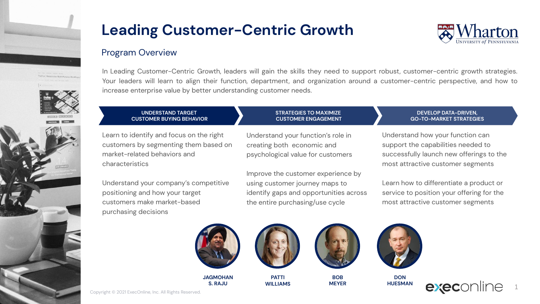

# **Leading Customer-Centric Growth**



### Program Overview

In Leading Customer-Centric Growth, leaders will gain the skills they need to support robust, customer-centric growth strategies. Your leaders will learn to align their function, department, and organization around a customer-centric perspective, and how to increase enterprise value by better understanding customer needs.

> **STRATEGIES TO MAXIMIZE CUSTOMER ENGAGEMENT**

#### **UNDERSTAND TARGET CUSTOMER BUYING BEHAVIOR**

Learn to identify and focus on the right customers by segmenting them based on market-related behaviors and characteristics

Understand your company's competitive positioning and how your target customers make market-based purchasing decisions

Understand your function's role in creating both economic and

psychological value for customers

Improve the customer experience by using customer journey maps to identify gaps and opportunities across the entire purchasing/use cycle

### **DEVELOP DATA-DRIVEN, GO-TO-MARKET STRATEGIES**

Understand how your function can support the capabilities needed to successfully launch new offerings to the most attractive customer segments

Learn how to differentiate a product or service to position your offering for the most attractive customer segments



**JAGMOHAN S. RAJU**







**BOB** 

**MEYER**



**DON HUESMAN**



Copyright © 2021 ExecOnline, Inc. All Rights Reserved.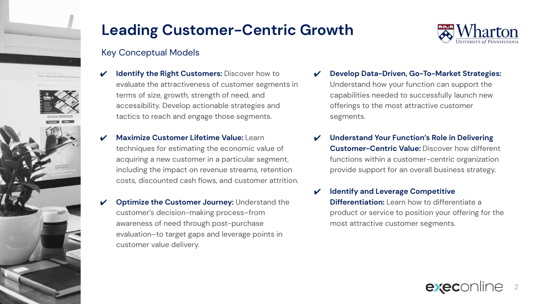

## **Leading Customer-Centric Growth**

### Key Conceptual Models

- **Identify the Right Customers: Discover how to** evaluate the attractiveness of customer segments in terms of size, growth, strength of need, and accessibility. Develop actionable strategies and tactics to reach and engage those segments.
- **Maximize Customer Lifetime Value: Learn** techniques for estimating the economic value of acquiring a new customer in a particular segment, including the impact on revenue streams, retention costs, discounted cash flows, and customer attrition.
- **Optimize the Customer Journey: Understand the** customer's decision-making process–from awareness of need through post-purchase evaluation–to target gaps and leverage points in customer value delivery.



- ✔ **Develop Data-Driven, Go-To-Market Strategies:**  Understand how your function can support the capabilities needed to successfully launch new offerings to the most attractive customer segments.
- **Understand Your Function's Role in Delivering Customer-Centric Value:** Discover how different functions within a customer-centric organization provide support for an overall business strategy.
- **Identify and Leverage Competitive Differentiation:** Learn how to differentiate a product or service to position your offering for the most attractive customer segments.

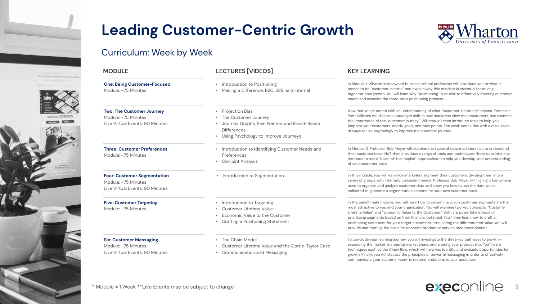



## Curriculum: Week by Week

| <b>MODULE</b>                                                                                | <b>LECTURES [VIDEOS]</b>                                                                                                                                | <b>KEY LEARNING</b>                                                                                                                                                                                                                                                                                                                                                                                                                                                                                                                                               |  |  |
|----------------------------------------------------------------------------------------------|---------------------------------------------------------------------------------------------------------------------------------------------------------|-------------------------------------------------------------------------------------------------------------------------------------------------------------------------------------------------------------------------------------------------------------------------------------------------------------------------------------------------------------------------------------------------------------------------------------------------------------------------------------------------------------------------------------------------------------------|--|--|
| <b>One: Being Customer-Focused</b><br>Module: ~75 Minutes                                    | • Introduction to Positioning<br>• Making a Difference: B2C, B2B, and Internal                                                                          | In Module 1, Wharton's renowned business school professors will introduce you to what it<br>means to be "customer-centric" and explain why this mindset is essential for driving<br>organizational growth. You will learn why "positioning" is crucial to effectively meeting customer<br>needs and examine the three-step positioning process.                                                                                                                                                                                                                   |  |  |
| <b>Two: The Customer Journey</b><br>Module: ~75 Minutes<br>Live Virtual Events: 90 Minutes   | • Projection Bias<br>• The Customer Journey<br>• Journey Graphs, Pain Pointes, and Brand-Based<br>Differences<br>• Using Psychology to Improve Journeys | Now that you're armed with an understanding of what "customer-centricity" means, Professor<br>Patti Williams will discuss a paradigm shift in how marketers view their customers, and examine<br>the importance of the "customer journey." Williams will then introduce tools to help you<br>pinpoint your customers' needs, goals, and pain points. The week concludes with a discussion<br>of ways to use psychology to improve the customer journey.                                                                                                           |  |  |
| <b>Three: Customer Preferences</b><br>Module: ~75 Minutes                                    | • Introduction to Identifying Customer Needs and<br>Preferences<br>• Conjoint Analysis                                                                  | In Module 3, Professor Bob Meyer will examine the types of data marketers use to understand<br>their customer base. He'll then introduce a range of tools and techniques-from data intensive<br>methods to more "back-of-the-napkin" approaches-to help you develop your understanding<br>of your customer base.                                                                                                                                                                                                                                                  |  |  |
| <b>Four: Customer Segmentation</b><br>Module: ~75 Minutes<br>Live Virtual Events: 90 Minutes | • Introduction to Segmentation                                                                                                                          | In this module, you will learn how marketers segment their customers, dividing them into a<br>series of groups with internally consistent needs. Professor Bob Meyer will highlight key criteria<br>used to organize and analyze customer data and show you how to use the data you've<br>collected to generate a segmentation scheme for your own customer base.                                                                                                                                                                                                 |  |  |
| <b>Five: Customer Targeting</b><br>Module: ~75 Minutes                                       | • Introduction to Targeting<br>Customer Lifetime Value<br>• Economic Value to the Customer<br>• Crafting a Positioning Statement                        | In the penultimate module, you will learn how to determine which customer segments are the<br>most attractive to you and your organization. You will examine two key concepts: "Customer<br>Lifetime Value" and "Economic Value to the Customer." Both are powerful methods of<br>prioritizing segments based on their financial potential. You'll then learn how to craft a<br>positioning statement for your target customers, articulating the differentiated value you will<br>provide and forming the basis for concrete product or service recommendations. |  |  |
| <b>Six: Customer Messaging</b><br>Module: ~75 Minutes<br>Live Virtual Events: 90 Minutes     | • The Chain Model<br>• Customer Lifetime Value and the Cottle-Taylor Case<br><b>Communication and Messaging</b>                                         | To conclude your learning journey, you will investigate the three key pathways to growth-<br>expanding the market, increasing market share, and altering your product mix. You'll learn<br>techniques such as the Chain Rule, which will help you identify and evaluate opportunities for<br>growth. Finally, you will discuss the principles of powerful messaging in order to effectively<br>communicate your customer-centric recommendations to your audience.                                                                                                |  |  |